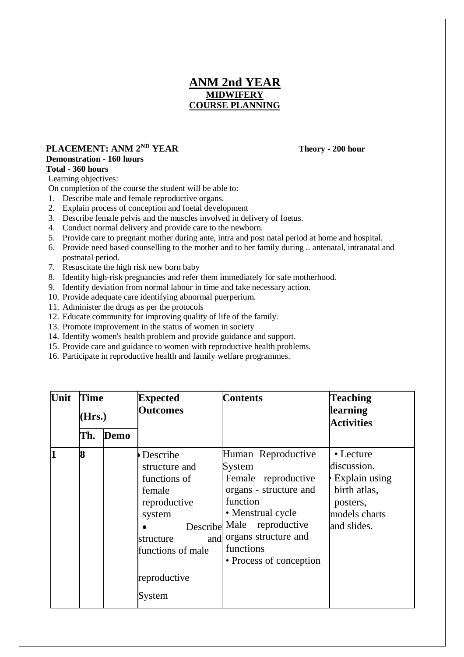# **ANM 2nd YEAR MIDWIFERY COURSE PLANNING**

## **PLACEMENT: ANM 2ND YEAR Theory - 200 hour**

## **Demonstration - 160 hours**

#### **Total - 360 hours**

Learning objectives:

- On completion of the course the student will be able to:
- 1. Describe male and female reproductive organs.
- 2. Explain process of conception and foetal development
- 3. Describe female pelvis and the muscles involved in delivery of foetus.
- 4. Conduct normal delivery and provide care to the newborn.
- 5. Provide care to pregnant mother during ante, intra and post natal period at home and hospital.
- 6. Provide need based counselling to the mother and to her family during .. antenatal, intranatal and postnatal period.
- 7. Resuscitate the high risk new born baby
- 8. Identify high-risk pregnancies and refer them immediately for safe motherhood.
- 9. Identify deviation from normal labour in time and take necessary action.
- 10. Provide adequate care identifying abnormal puerperium.
- 11. Administer the drugs as per the protocols
- 12. Educate community for improving quality of life of the family.
- 13. Promote improvement in the status of women in society
- 14. Identify women's health problem and provide guidance and support.
- 15. Provide care and guidance to women with reproductive health problems.
- 16. Participate in reproductive health and family welfare programmes.

| Unit        | Time<br>(Hrs.) |      | <b>Expected</b><br><b>Outcomes</b>                                                                                                        | <b>Contents</b>                                                                                                                                                                                                  | <b>Teaching</b><br>learning<br><b>Activities</b>                                                      |
|-------------|----------------|------|-------------------------------------------------------------------------------------------------------------------------------------------|------------------------------------------------------------------------------------------------------------------------------------------------------------------------------------------------------------------|-------------------------------------------------------------------------------------------------------|
|             | Th.            | Demo |                                                                                                                                           |                                                                                                                                                                                                                  |                                                                                                       |
| $\mathbf 1$ | 8              |      | Describe<br>structure and<br>functions of<br>female<br>reproductive<br>system<br>structure<br>functions of male<br>reproductive<br>System | Human Reproductive<br>System<br>Female reproductive<br>organs - structure and<br>function<br>• Menstrual cycle<br>Describe Male reproductive<br>and organs structure and<br>functions<br>• Process of conception | • Lecture<br>discussion.<br>Explain using<br>birth atlas,<br>posters,<br>models charts<br>and slides. |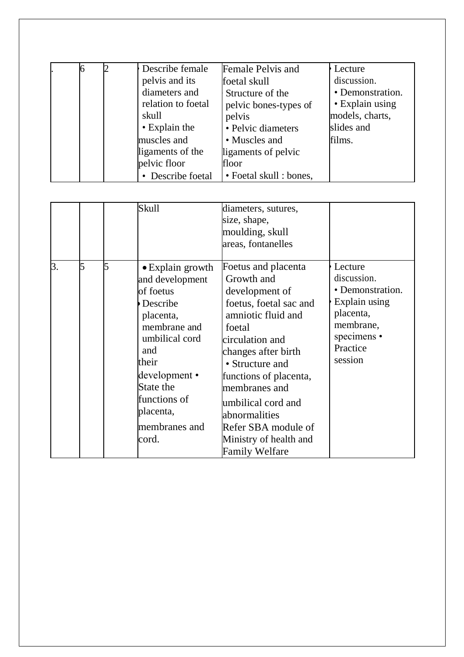|  | Describe female<br>pelvis and its<br>diameters and<br>relation to foetal<br>skull<br>• Explain the<br>muscles and | Female Pelvis and<br>foetal skull<br>Structure of the<br>pelvic bones-types of<br>pelvis<br>• Pelvic diameters<br>• Muscles and | Lecture<br>discussion.<br>• Demonstration.<br>• Explain using<br>models, charts,<br>slides and<br>films. |
|--|-------------------------------------------------------------------------------------------------------------------|---------------------------------------------------------------------------------------------------------------------------------|----------------------------------------------------------------------------------------------------------|
|  | ligaments of the                                                                                                  | ligaments of pelvic                                                                                                             |                                                                                                          |
|  | pelvic floor<br>• Describe foetal                                                                                 | floor<br>• Foetal skull : bones,                                                                                                |                                                                                                          |

|    |   | <b>Skull</b>                                                                                                                                                                                                             | diameters, sutures,<br>size, shape,<br>moulding, skull<br>areas, fontanelles                                                                                                                                                                                                                                                           |                                                                                                                             |
|----|---|--------------------------------------------------------------------------------------------------------------------------------------------------------------------------------------------------------------------------|----------------------------------------------------------------------------------------------------------------------------------------------------------------------------------------------------------------------------------------------------------------------------------------------------------------------------------------|-----------------------------------------------------------------------------------------------------------------------------|
| 3. | 5 | $\bullet$ Explain growth<br>and development<br>of foetus<br>Describe<br>placenta,<br>membrane and<br>umbilical cord<br>and<br>their<br>development •<br>State the<br>functions of<br>placenta,<br>membranes and<br>cord. | Foetus and placenta<br>Growth and<br>development of<br>foetus, foetal sac and<br>amniotic fluid and<br>foetal<br>circulation and<br>changes after birth<br>• Structure and<br>functions of placenta,<br>membranes and<br>umbilical cord and<br>abnormalities<br>Refer SBA module of<br>Ministry of health and<br><b>Family Welfare</b> | Lecture<br>discussion.<br>• Demonstration.<br>Explain using<br>placenta,<br>membrane,<br>specimens •<br>Practice<br>session |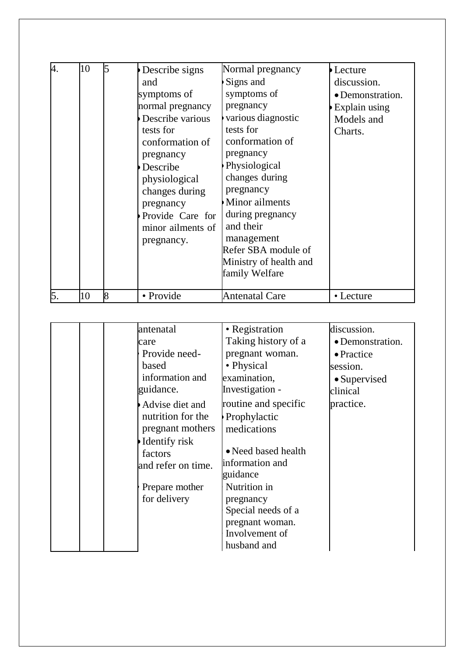| 4. | 10 | Describe signs<br>and<br>symptoms of<br>normal pregnancy<br>Describe various<br>tests for<br>conformation of<br>pregnancy<br>Describe<br>physiological<br>changes during<br>pregnancy<br>Provide Care for<br>minor ailments of<br>pregnancy. | Normal pregnancy<br>Signs and<br>symptoms of<br>pregnancy<br>various diagnostic<br>tests for<br>conformation of<br>pregnancy<br>Physiological<br>changes during<br>pregnancy<br><b>Minor</b> ailments<br>during pregnancy<br>and their<br>management<br>Refer SBA module of<br>Ministry of health and<br>family Welfare | Lecture<br>discussion.<br>• Demonstration.<br>Explain using<br>Models and<br>Charts. |
|----|----|----------------------------------------------------------------------------------------------------------------------------------------------------------------------------------------------------------------------------------------------|-------------------------------------------------------------------------------------------------------------------------------------------------------------------------------------------------------------------------------------------------------------------------------------------------------------------------|--------------------------------------------------------------------------------------|
| 5. | 10 | • Provide                                                                                                                                                                                                                                    | Antenatal Care                                                                                                                                                                                                                                                                                                          | • Lecture                                                                            |

| antenatal          | • Registration       | discussion.          |
|--------------------|----------------------|----------------------|
| care               | Taking history of a  | • Demonstration.     |
| Provide need-      | pregnant woman.      | • Practice           |
| based              | • Physical           | session.             |
| information and    | examination,         | $\bullet$ Supervised |
| guidance.          | Investigation -      | clinical             |
| Advise diet and    | routine and specific | practice.            |
| nutrition for the  | Prophylactic         |                      |
| pregnant mothers   | medications          |                      |
| Identify risk      |                      |                      |
| factors            | • Need based health  |                      |
| and refer on time. | information and      |                      |
|                    | guidance             |                      |
| Prepare mother     | Nutrition in         |                      |
| for delivery       | pregnancy            |                      |
|                    | Special needs of a   |                      |
|                    | pregnant woman.      |                      |
|                    | Involvement of       |                      |
|                    | husband and          |                      |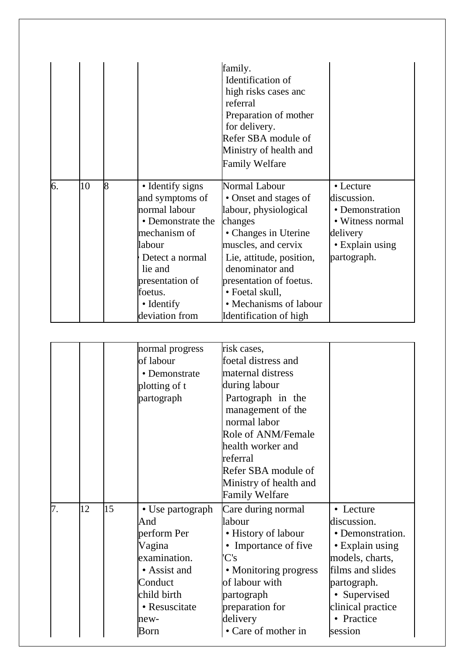|    |    |   |                                                                                                                                                                                                 | family.<br>Identification of<br>high risks cases and<br>referral<br>Preparation of mother<br>for delivery.<br>Refer SBA module of<br>Ministry of health and<br><b>Family Welfare</b>                                                                                       |                                                                                                               |
|----|----|---|-------------------------------------------------------------------------------------------------------------------------------------------------------------------------------------------------|----------------------------------------------------------------------------------------------------------------------------------------------------------------------------------------------------------------------------------------------------------------------------|---------------------------------------------------------------------------------------------------------------|
| 6. | 10 | 8 | • Identify signs<br>and symptoms of<br>normal labour<br>• Demonstrate the<br>mechanism of<br>labour<br>Detect a normal<br>lie and<br>presentation of<br>foetus.<br>• Identify<br>deviation from | Normal Labour<br>• Onset and stages of<br>labour, physiological<br>changes<br>• Changes in Uterine<br>muscles, and cervix<br>Lie, attitude, position,<br>denominator and<br>presentation of foetus.<br>• Foetal skull,<br>• Mechanisms of labour<br>Identification of high | • Lecture<br>discussion.<br>• Demonstration<br>• Witness normal<br>delivery<br>• Explain using<br>partograph. |

|    |    |    | normal progress  | risk cases,            |                   |
|----|----|----|------------------|------------------------|-------------------|
|    |    |    | of labour        | foetal distress and    |                   |
|    |    |    | • Demonstrate    | maternal distress      |                   |
|    |    |    | plotting of t    | during labour          |                   |
|    |    |    | partograph       | Partograph in the      |                   |
|    |    |    |                  | management of the      |                   |
|    |    |    |                  | normal labor           |                   |
|    |    |    |                  | Role of ANM/Female     |                   |
|    |    |    |                  | health worker and      |                   |
|    |    |    |                  | referral               |                   |
|    |    |    |                  | Refer SBA module of    |                   |
|    |    |    |                  | Ministry of health and |                   |
|    |    |    |                  | <b>Family Welfare</b>  |                   |
| 7. | 12 | 15 | • Use partograph | Care during normal     | • Lecture         |
|    |    |    | And              | labour                 | discussion.       |
|    |    |    | perform Per      | • History of labour    | • Demonstration.  |
|    |    |    | Vagina           | • Importance of five   | • Explain using   |
|    |    |    | examination.     | 'C's                   | models, charts,   |
|    |    |    | • Assist and     | • Monitoring progress  | films and slides  |
|    |    |    | Conduct          | of labour with         | partograph.       |
|    |    |    | child birth      | partograph             | • Supervised      |
|    |    |    | • Resuscitate    | preparation for        |                   |
|    |    |    |                  |                        | clinical practice |
|    |    |    | new-             | delivery               | • Practice        |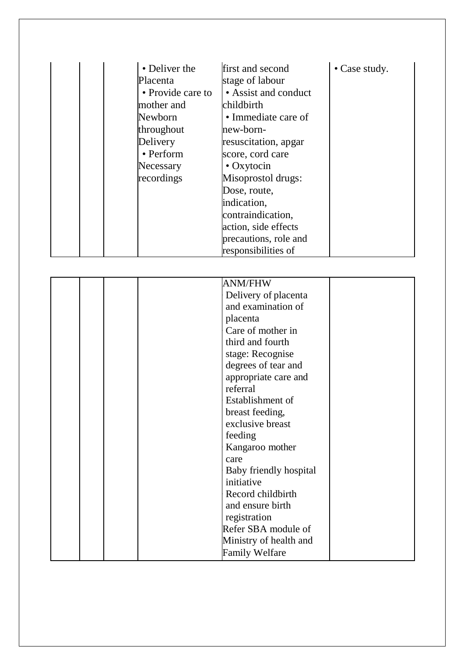| • Deliver the<br>Placenta<br>• Provide care to | first and second<br>stage of labour<br>• Assist and conduct | • Case study. |
|------------------------------------------------|-------------------------------------------------------------|---------------|
| mother and                                     | childbirth                                                  |               |
| Newborn                                        | • Immediate care of                                         |               |
| throughout                                     | new-born-                                                   |               |
| Delivery                                       | resuscitation, apgar                                        |               |
| • Perform                                      | score, cord care                                            |               |
| Necessary                                      | $\cdot$ Oxytocin                                            |               |
| recordings                                     | Misoprostol drugs:                                          |               |
|                                                | Dose, route,                                                |               |
|                                                | indication,                                                 |               |
|                                                | contraindication,                                           |               |
|                                                | action, side effects                                        |               |
|                                                | precautions, role and                                       |               |
|                                                | responsibilities of                                         |               |

|  | <b>ANM/FHW</b>         |
|--|------------------------|
|  | Delivery of placenta   |
|  | and examination of     |
|  | placenta               |
|  | Care of mother in      |
|  | third and fourth       |
|  | stage: Recognise       |
|  | degrees of tear and    |
|  | appropriate care and   |
|  | referral               |
|  | Establishment of       |
|  | breast feeding,        |
|  | exclusive breast       |
|  | feeding                |
|  | Kangaroo mother        |
|  | care                   |
|  | Baby friendly hospital |
|  | initiative             |
|  | Record childbirth      |
|  | and ensure birth       |
|  | registration           |
|  | Refer SBA module of    |
|  | Ministry of health and |
|  | <b>Family Welfare</b>  |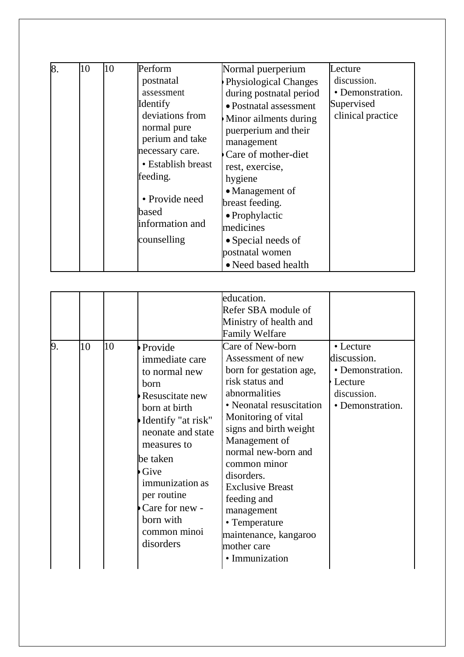| 8. | 10 | 10 | Perform<br>postnatal<br>assessment<br>Identify<br>deviations from<br>normal pure<br>perium and take<br>necessary care.<br>• Establish breast<br>feeding.<br>• Provide need<br>based<br>information and<br>counselling | Normal puerperium<br>Physiological Changes<br>during postnatal period<br>• Postnatal assessment<br>Minor ailments during<br>puerperium and their<br>management<br>Care of mother-diet<br>rest, exercise,<br>hygiene<br>• Management of<br>breast feeding.<br>• Prophylactic<br>medicines<br>• Special needs of<br>postnatal women<br>• Need based health | Lecture<br>discussion.<br>• Demonstration.<br>Supervised<br>clinical practice |
|----|----|----|-----------------------------------------------------------------------------------------------------------------------------------------------------------------------------------------------------------------------|----------------------------------------------------------------------------------------------------------------------------------------------------------------------------------------------------------------------------------------------------------------------------------------------------------------------------------------------------------|-------------------------------------------------------------------------------|
|----|----|----|-----------------------------------------------------------------------------------------------------------------------------------------------------------------------------------------------------------------------|----------------------------------------------------------------------------------------------------------------------------------------------------------------------------------------------------------------------------------------------------------------------------------------------------------------------------------------------------------|-------------------------------------------------------------------------------|

| 9. | 10 | 10 | Provide<br>immediate care<br>to normal new<br>born<br>Resuscitate new<br>born at birth<br>Identify "at risk"<br>neonate and state<br>measures to<br>be taken<br>Give<br>immunization as<br>per routine<br>Care for new -<br>born with<br>common minoi<br>disorders | education.<br>Refer SBA module of<br>Ministry of health and<br><b>Family Welfare</b><br>Care of New-born<br>Assessment of new<br>born for gestation age,<br>risk status and<br>abnormalities<br>• Neonatal resuscitation<br>Monitoring of vital<br>signs and birth weight<br>Management of<br>normal new-born and<br>common minor<br>disorders.<br><b>Exclusive Breast</b><br>feeding and<br>management<br>• Temperature<br>maintenance, kangaroo<br>mother care<br>· Immunization | • Lecture<br>discussion.<br>• Demonstration.<br>Lecture<br>discussion.<br>• Demonstration. |
|----|----|----|--------------------------------------------------------------------------------------------------------------------------------------------------------------------------------------------------------------------------------------------------------------------|------------------------------------------------------------------------------------------------------------------------------------------------------------------------------------------------------------------------------------------------------------------------------------------------------------------------------------------------------------------------------------------------------------------------------------------------------------------------------------|--------------------------------------------------------------------------------------------|
|----|----|----|--------------------------------------------------------------------------------------------------------------------------------------------------------------------------------------------------------------------------------------------------------------------|------------------------------------------------------------------------------------------------------------------------------------------------------------------------------------------------------------------------------------------------------------------------------------------------------------------------------------------------------------------------------------------------------------------------------------------------------------------------------------|--------------------------------------------------------------------------------------------|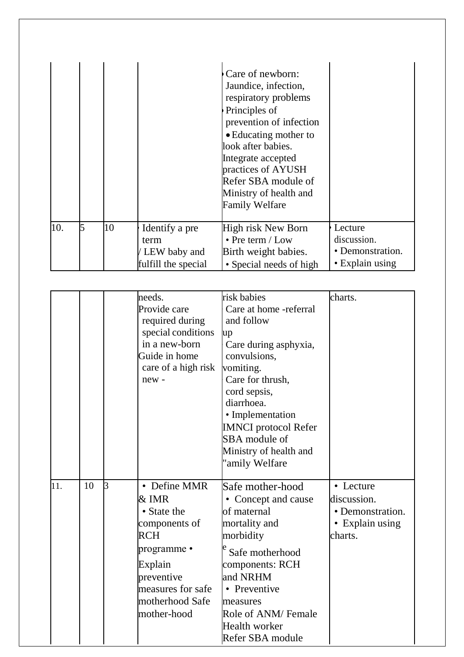|     |   |    |                                                                 | Care of newborn:<br>Jaundice, infection,<br>respiratory problems<br>Principles of<br>prevention of infection<br>• Educating mother to<br>look after babies.<br>Integrate accepted<br>practices of AYUSH<br>Refer SBA module of<br>Ministry of health and<br><b>Family Welfare</b> |                                                               |
|-----|---|----|-----------------------------------------------------------------|-----------------------------------------------------------------------------------------------------------------------------------------------------------------------------------------------------------------------------------------------------------------------------------|---------------------------------------------------------------|
| 10. | 5 | 10 | Identify a pre<br>term<br>/ LEW baby and<br>fulfill the special | High risk New Born<br>$\cdot$ Pre term / Low<br>Birth weight babies.<br>• Special needs of high                                                                                                                                                                                   | Lecture<br>discussion.<br>• Demonstration.<br>• Explain using |

|     |    |   | needs.<br>Provide care<br>required during<br>special conditions<br>in a new-born<br>Guide in home<br>care of a high risk<br>new-                                   | risk babies<br>Care at home -referral<br>and follow<br>up<br>Care during asphyxia,<br>convulsions,<br>vomiting.<br>Care for thrush,<br>cord sepsis,<br>diarrhoea.<br>• Implementation<br><b>IMNCI</b> protocol Refer<br>SBA module of<br>Ministry of health and<br>'amily Welfare | charts.                                                                    |
|-----|----|---|--------------------------------------------------------------------------------------------------------------------------------------------------------------------|-----------------------------------------------------------------------------------------------------------------------------------------------------------------------------------------------------------------------------------------------------------------------------------|----------------------------------------------------------------------------|
| 11. | 10 | B | • Define MMR<br>& IMR<br>• State the<br>components of<br><b>RCH</b><br>programme •<br>Explain<br>preventive<br>measures for safe<br>motherhood Safe<br>mother-hood | Safe mother-hood<br>• Concept and cause<br>of maternal<br>mortality and<br>morbidity<br>Safe motherhood<br>components: RCH<br>and NRHM<br>• Preventive<br>measures<br>Role of ANM/ Female<br><b>Health worker</b><br>Refer SBA module                                             | • Lecture<br>discussion.<br>• Demonstration.<br>• Explain using<br>charts. |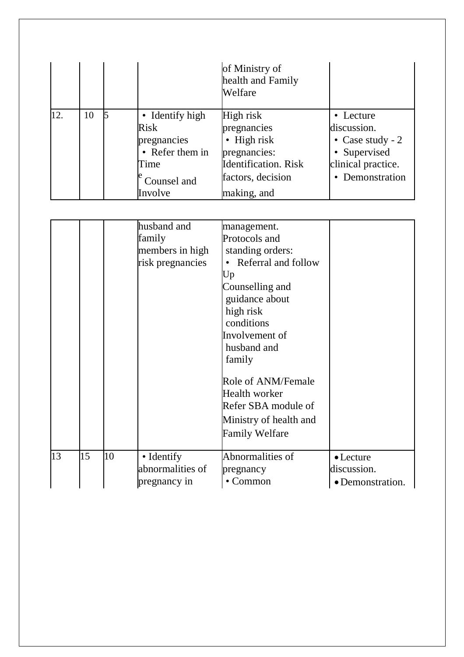|     |    |                                                                          | of Ministry of<br>health and Family<br>Welfare                                          |                                                                                      |
|-----|----|--------------------------------------------------------------------------|-----------------------------------------------------------------------------------------|--------------------------------------------------------------------------------------|
| 12. | 10 | • Identify high<br><b>Risk</b><br>pregnancies<br>• Refer them in<br>Time | High risk<br>pregnancies<br>• High risk<br>pregnancies:<br><b>Identification</b> . Risk | • Lecture<br>discussion.<br>• Case study - $2$<br>• Supervised<br>clinical practice. |
|     |    | Counsel and<br>Involve                                                   | factors, decision<br>making, and                                                        | Demonstration                                                                        |

|    |    |    | husband and<br>family<br>members in high<br>risk pregnancies | management.<br>Protocols and<br>standing orders:<br>Referral and follow<br>Up<br>Counselling and<br>guidance about<br>high risk<br>conditions<br>Involvement of<br>husband and<br>family<br>Role of ANM/Female<br>Health worker<br>Refer SBA module of<br>Ministry of health and<br><b>Family Welfare</b> |                                                      |
|----|----|----|--------------------------------------------------------------|-----------------------------------------------------------------------------------------------------------------------------------------------------------------------------------------------------------------------------------------------------------------------------------------------------------|------------------------------------------------------|
| 13 | 15 | 10 | • Identify<br>abnormalities of<br>pregnancy in               | Abnormalities of<br>pregnancy<br>$\cdot$ Common                                                                                                                                                                                                                                                           | $\bullet$ Lecture<br>discussion.<br>• Demonstration. |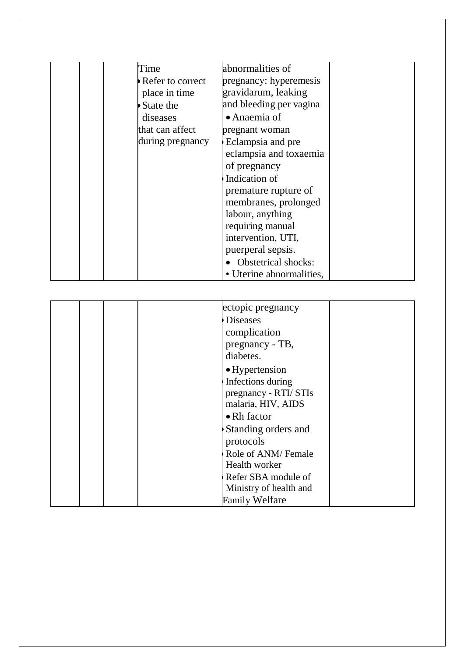| Time             | abnormalities of           |  |
|------------------|----------------------------|--|
| Refer to correct | pregnancy: hyperemesis     |  |
| place in time    | gravidarum, leaking        |  |
| State the        | and bleeding per vagina    |  |
| diseases         | • Anaemia of               |  |
| that can affect  | pregnant woman             |  |
| during pregnancy | Eclampsia and pre          |  |
|                  | eclampsia and toxaemia     |  |
|                  | of pregnancy               |  |
|                  | Indication of              |  |
|                  | premature rupture of       |  |
|                  | membranes, prolonged       |  |
|                  | labour, anything           |  |
|                  | requiring manual           |  |
|                  | intervention, UTI,         |  |
|                  | puerperal sepsis.          |  |
|                  | <b>Obstetrical shocks:</b> |  |
|                  | • Uterine abnormalities,   |  |

|  | ectopic pregnancy      |
|--|------------------------|
|  | <b>Diseases</b>        |
|  | complication           |
|  | pregnancy - TB,        |
|  | diabetes.              |
|  | • Hypertension         |
|  | Infections during      |
|  | pregnancy - RTI/ STIs  |
|  | malaria, HIV, AIDS     |
|  | • Rh factor            |
|  | Standing orders and    |
|  | protocols              |
|  | Role of ANM/Female     |
|  | Health worker          |
|  | Refer SBA module of    |
|  | Ministry of health and |
|  | <b>Family Welfare</b>  |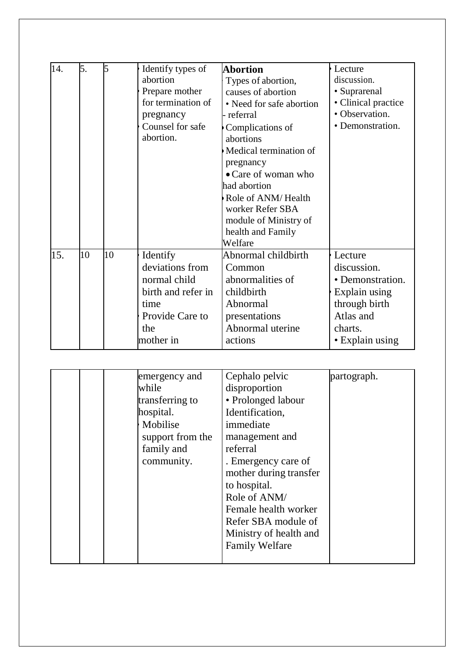| 14. | 5. | 5  | Identify types of<br>abortion<br>Prepare mother<br>for termination of<br>pregnancy<br>Counsel for safe<br>abortion. | <b>Abortion</b><br>Types of abortion,<br>causes of abortion<br>• Need for safe abortion<br>referral<br>Complications of<br>abortions<br>Medical termination of<br>pregnancy<br>• Care of woman who<br>had abortion<br>Role of ANM/Health<br>worker Refer SBA<br>module of Ministry of<br>health and Family<br>Welfare | Lecture<br>discussion.<br>• Suprarenal<br>• Clinical practice<br>• Observation.<br>• Demonstration.                     |
|-----|----|----|---------------------------------------------------------------------------------------------------------------------|-----------------------------------------------------------------------------------------------------------------------------------------------------------------------------------------------------------------------------------------------------------------------------------------------------------------------|-------------------------------------------------------------------------------------------------------------------------|
| 15. | 10 | 10 | Identify<br>deviations from<br>normal child<br>birth and refer in<br>time<br>Provide Care to<br>the<br>mother in    | Abnormal childbirth<br>Common<br>abnormalities of<br>childbirth<br>Abnormal<br>presentations<br>Abnormal uterine<br>actions                                                                                                                                                                                           | Lecture<br>discussion.<br>• Demonstration.<br>Explain using<br>through birth<br>Atlas and<br>charts.<br>• Explain using |

|  | emergency and    | Cephalo pelvic         | partograph. |
|--|------------------|------------------------|-------------|
|  | while            | disproportion          |             |
|  | transferring to  | • Prolonged labour     |             |
|  | hospital.        | Identification,        |             |
|  | Mobilise         | immediate              |             |
|  | support from the | management and         |             |
|  | family and       | referral               |             |
|  | community.       | . Emergency care of    |             |
|  |                  | mother during transfer |             |
|  |                  | to hospital.           |             |
|  |                  | Role of ANM/           |             |
|  |                  | Female health worker   |             |
|  |                  | Refer SBA module of    |             |
|  |                  | Ministry of health and |             |
|  |                  | <b>Family Welfare</b>  |             |
|  |                  |                        |             |
|  |                  |                        |             |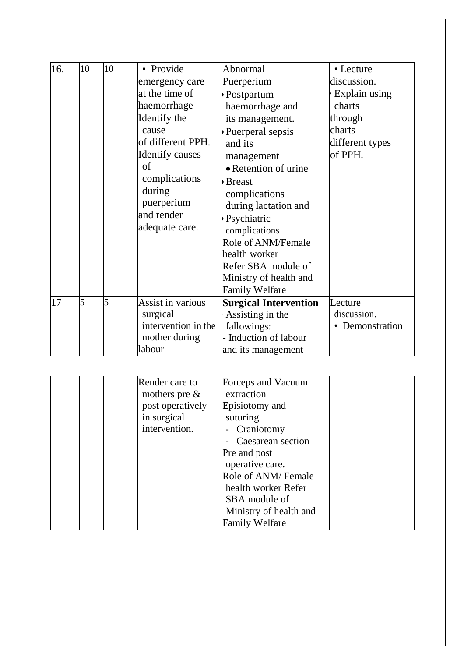| 16. | 10 | 10 | • Provide<br>emergency care<br>at the time of<br>haemorrhage<br>Identify the<br>cause<br>of different PPH.<br><b>Identify causes</b><br>of<br>complications<br>during<br>puerperium<br>and render<br>adequate care. | Abnormal<br>Puerperium<br>Postpartum<br>haemorrhage and<br>its management.<br>Puerperal sepsis<br>and its<br>management<br>• Retention of urine<br><b>Breast</b><br>complications<br>during lactation and<br>Psychiatric<br>complications<br>Role of ANM/Female<br>health worker<br>Refer SBA module of<br>Ministry of health and<br><b>Family Welfare</b> | • Lecture<br>discussion.<br>Explain using<br>charts<br>through<br>charts<br>different types<br>of PPH. |
|-----|----|----|---------------------------------------------------------------------------------------------------------------------------------------------------------------------------------------------------------------------|------------------------------------------------------------------------------------------------------------------------------------------------------------------------------------------------------------------------------------------------------------------------------------------------------------------------------------------------------------|--------------------------------------------------------------------------------------------------------|
| 17  | 5  |    | Assist in various<br>surgical<br>intervention in the<br>mother during<br>labour                                                                                                                                     | <b>Surgical Intervention</b><br>Assisting in the<br>fallowings:<br>Induction of labour<br>and its management                                                                                                                                                                                                                                               | Lecture<br>discussion.<br>• Demonstration                                                              |

|  | Render care to   | Forceps and Vacuum     |  |
|--|------------------|------------------------|--|
|  | mothers pre $\&$ | extraction             |  |
|  | post operatively | Episiotomy and         |  |
|  | in surgical      | suturing               |  |
|  | intervention.    | Craniotomy             |  |
|  |                  | Caesarean section      |  |
|  |                  | Pre and post           |  |
|  |                  | operative care.        |  |
|  |                  | Role of ANM/Female     |  |
|  |                  | health worker Refer    |  |
|  |                  | SBA module of          |  |
|  |                  | Ministry of health and |  |
|  |                  | <b>Family Welfare</b>  |  |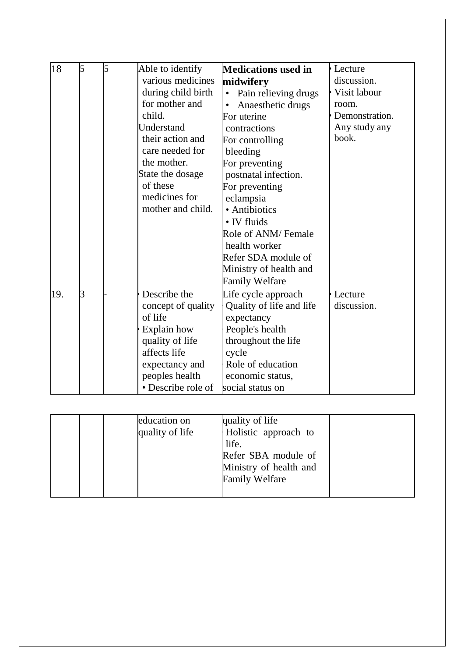| 18  | 5 | 5 | Able to identify<br>various medicines<br>during child birth<br>for mother and<br>child.<br>Understand<br>their action and<br>care needed for<br>the mother.<br>State the dosage<br>of these<br>medicines for<br>mother and child. | <b>Medications used in</b><br>midwifery<br>Pain relieving drugs<br>$\bullet$<br>Anaesthetic drugs<br>For uterine<br>contractions<br>For controlling<br>bleeding<br>For preventing<br>postnatal infection.<br>For preventing<br>eclampsia<br>• Antibiotics<br>• IV fluids<br><b>Role of ANM/ Female</b><br>health worker<br>Refer SDA module of<br>Ministry of health and<br><b>Family Welfare</b> | Lecture<br>discussion.<br>Visit labour<br>room.<br>Demonstration.<br>Any study any<br>book. |
|-----|---|---|-----------------------------------------------------------------------------------------------------------------------------------------------------------------------------------------------------------------------------------|---------------------------------------------------------------------------------------------------------------------------------------------------------------------------------------------------------------------------------------------------------------------------------------------------------------------------------------------------------------------------------------------------|---------------------------------------------------------------------------------------------|
| 19. | 3 |   | Describe the<br>concept of quality<br>of life<br>Explain how<br>quality of life<br>affects life<br>expectancy and<br>peoples health<br>• Describe role of                                                                         | Life cycle approach<br>Quality of life and life<br>expectancy<br>People's health<br>throughout the life<br>cycle<br>Role of education<br>economic status,<br>social status on                                                                                                                                                                                                                     | Lecture<br>discussion.                                                                      |

|  | education on<br>quality of life | quality of life<br>Holistic approach to<br>life.<br>Refer SBA module of<br>Ministry of health and<br><b>Family Welfare</b> |  |
|--|---------------------------------|----------------------------------------------------------------------------------------------------------------------------|--|
|  |                                 |                                                                                                                            |  |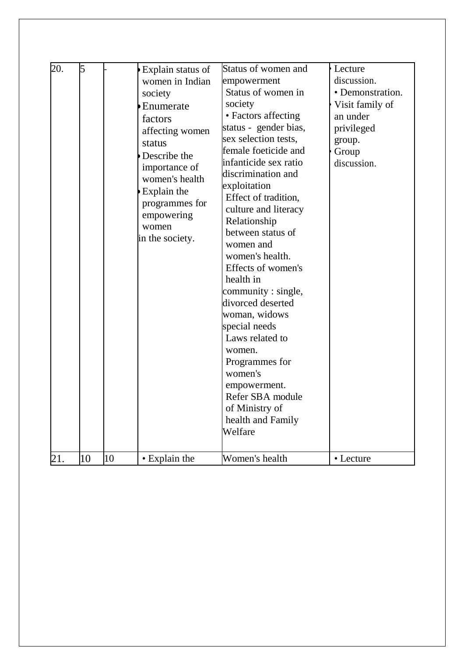| 20.<br>21. | 5<br>10 | 10 | Explain status of<br>women in Indian<br>society<br>Enumerate<br>factors<br>affecting women<br>status<br>Describe the<br>importance of<br>women's health<br>Explain the<br>programmes for<br>empowering<br>women<br>in the society. | Status of women and<br>empowerment<br>Status of women in<br>society<br>• Factors affecting<br>status - gender bias,<br>sex selection tests,<br>female foeticide and<br>infanticide sex ratio<br>discrimination and<br>exploitation<br>Effect of tradition,<br>culture and literacy<br>Relationship<br>between status of<br>women and<br>women's health.<br>Effects of women's<br>health in<br>community : single,<br>divorced deserted<br>woman, widows<br>special needs<br>Laws related to<br>women.<br>Programmes for<br>women's<br>empowerment.<br>Refer SBA module<br>of Ministry of<br>health and Family<br>Welfare<br>Women's health | Lecture<br>discussion.<br>• Demonstration.<br>Visit family of<br>an under<br>privileged<br>group.<br>Group<br>discussion.<br>• Lecture |
|------------|---------|----|------------------------------------------------------------------------------------------------------------------------------------------------------------------------------------------------------------------------------------|--------------------------------------------------------------------------------------------------------------------------------------------------------------------------------------------------------------------------------------------------------------------------------------------------------------------------------------------------------------------------------------------------------------------------------------------------------------------------------------------------------------------------------------------------------------------------------------------------------------------------------------------|----------------------------------------------------------------------------------------------------------------------------------------|
|            |         |    | • Explain the                                                                                                                                                                                                                      |                                                                                                                                                                                                                                                                                                                                                                                                                                                                                                                                                                                                                                            |                                                                                                                                        |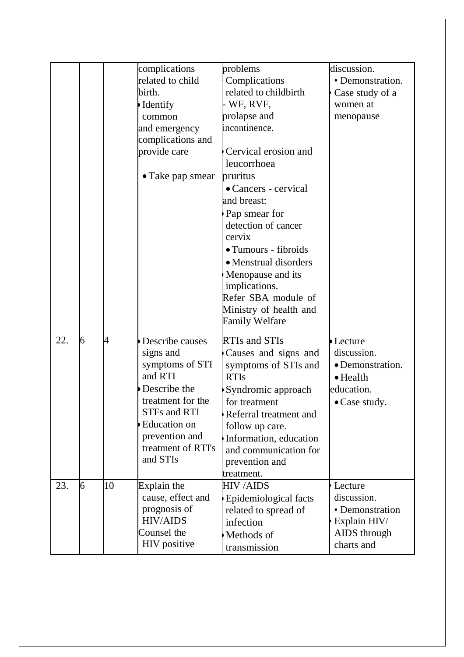|     |   |    | complications            | problems                                        | discussion.      |
|-----|---|----|--------------------------|-------------------------------------------------|------------------|
|     |   |    | related to child         | Complications                                   | • Demonstration. |
|     |   |    | birth.                   | related to childbirth                           | Case study of a  |
|     |   |    | Identify                 | WF, RVF,                                        | women at         |
|     |   |    | common                   | prolapse and                                    | menopause        |
|     |   |    | and emergency            | incontinence.                                   |                  |
|     |   |    | complications and        |                                                 |                  |
|     |   |    | provide care             | Cervical erosion and                            |                  |
|     |   |    |                          | leucorrhoea                                     |                  |
|     |   |    | $\bullet$ Take pap smear | pruritus                                        |                  |
|     |   |    |                          | • Cancers - cervical                            |                  |
|     |   |    |                          | and breast:                                     |                  |
|     |   |    |                          | Pap smear for                                   |                  |
|     |   |    |                          | detection of cancer                             |                  |
|     |   |    |                          | cervix                                          |                  |
|     |   |    |                          | · Tumours - fibroids                            |                  |
|     |   |    |                          | • Menstrual disorders                           |                  |
|     |   |    |                          | Menopause and its                               |                  |
|     |   |    |                          | implications.                                   |                  |
|     |   |    |                          | Refer SBA module of                             |                  |
|     |   |    |                          | Ministry of health and                          |                  |
|     |   |    |                          | <b>Family Welfare</b>                           |                  |
| 22. | 6 | 4  | Describe causes          | <b>RTIs and STIs</b>                            | Lecture          |
|     |   |    | signs and                | Causes and signs and                            | discussion.      |
|     |   |    | symptoms of STI          | symptoms of STIs and                            | • Demonstration. |
|     |   |    | and RTI                  | <b>RTIs</b>                                     | $\bullet$ Health |
|     |   |    | Describe the             | Syndromic approach                              | education.       |
|     |   |    | treatment for the        | for treatment                                   |                  |
|     |   |    | <b>STFs and RTI</b>      | Referral treatment and                          | • Case study.    |
|     |   |    | <b>Education</b> on      |                                                 |                  |
|     |   |    | prevention and           | follow up care.                                 |                  |
|     |   |    | treatment of RTI's       | Information, education<br>and communication for |                  |
|     |   |    | and STIs                 |                                                 |                  |
|     |   |    |                          | prevention and<br>treatment.                    |                  |
| 23. | 6 | 10 | Explain the              | <b>HIV/AIDS</b>                                 | Lecture          |
|     |   |    | cause, effect and        | Epidemiological facts                           | discussion.      |
|     |   |    | prognosis of             | related to spread of                            | • Demonstration  |
|     |   |    | <b>HIV/AIDS</b>          | infection                                       | Explain HIV/     |
|     |   |    | Counsel the              |                                                 | AIDS through     |
|     |   |    | HIV positive             | Methods of                                      | charts and       |
|     |   |    |                          | transmission                                    |                  |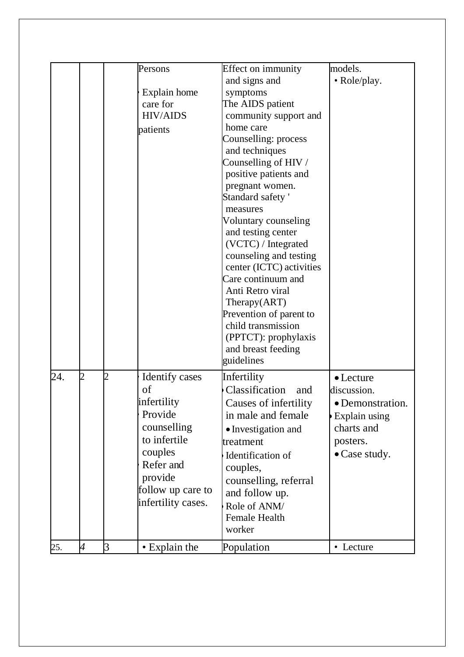|     |                          |         | Persons<br>Explain home<br>care for<br><b>HIV/AIDS</b><br>patients                                                                                                 | Effect on immunity<br>and signs and<br>symptoms<br>The AIDS patient<br>community support and<br>home care<br>Counselling: process<br>and techniques<br>Counselling of HIV /<br>positive patients and<br>pregnant women.<br>Standard safety'<br>measures<br>Voluntary counseling<br>and testing center<br>(VCTC) / Integrated<br>counseling and testing<br>center (ICTC) activities<br>Care continuum and<br>Anti Retro viral<br>Therapy(ART)<br>Prevention of parent to<br>child transmission | models.<br>· Role/play.                                                                                                |
|-----|--------------------------|---------|--------------------------------------------------------------------------------------------------------------------------------------------------------------------|-----------------------------------------------------------------------------------------------------------------------------------------------------------------------------------------------------------------------------------------------------------------------------------------------------------------------------------------------------------------------------------------------------------------------------------------------------------------------------------------------|------------------------------------------------------------------------------------------------------------------------|
|     |                          |         |                                                                                                                                                                    | (PPTCT): prophylaxis<br>and breast feeding<br>guidelines                                                                                                                                                                                                                                                                                                                                                                                                                                      |                                                                                                                        |
| 24. | $\overline{2}$           | 2       | <b>Identify cases</b><br>of<br>infertility<br>Provide<br>counselling<br>to infertile<br>couples<br>Refer and<br>provide<br>follow up care to<br>infertility cases. | Infertility<br>Classification<br>and<br>Causes of infertility<br>in male and female.<br>• Investigation and<br>treatment<br>Identification of<br>couples,<br>counselling, referral<br>and follow up.<br>Role of ANM/<br>Female Health<br>worker                                                                                                                                                                                                                                               | $\bullet$ Lecture<br>discussion.<br>· Demonstration<br><b>Explain using</b><br>charts and<br>posters.<br>• Case study. |
| 25. | $\overline{\mathcal{A}}$ | $\beta$ | • Explain the                                                                                                                                                      | Population                                                                                                                                                                                                                                                                                                                                                                                                                                                                                    | • Lecture                                                                                                              |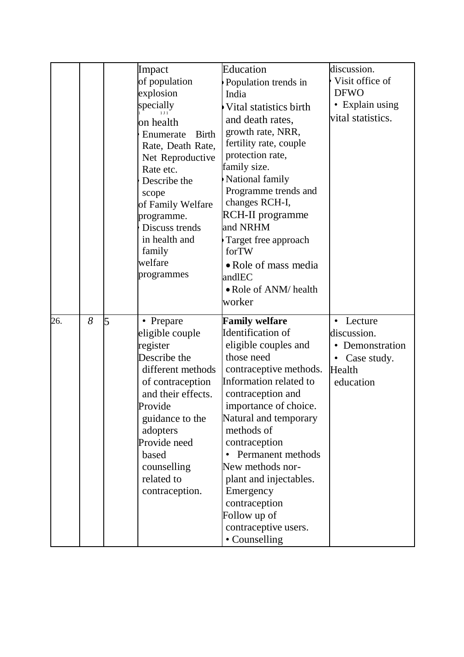|     |   |   | Impact<br>of population<br>explosion<br>specially<br>on health<br><b>Birth</b><br>Enumerate<br>Rate, Death Rate,<br>Net Reproductive<br>Rate etc.<br>Describe the<br>scope<br>of Family Welfare<br>programme.<br>Discuss trends<br>in health and<br>family<br>welfare<br>programmes | Education<br>Population trends in<br>India<br>Vital statistics birth<br>and death rates,<br>growth rate, NRR,<br>fertility rate, couple<br>protection rate,<br>family size.<br>National family<br>Programme trends and<br>changes RCH-I,<br>RCH-II programme<br>and NRHM<br>Target free approach<br>forTW<br>• Role of mass media<br>andlEC<br>• Role of ANM/ health<br>worker                                    | discussion.<br>Visit office of<br><b>DFWO</b><br>• Explain using<br>vital statistics.                     |
|-----|---|---|-------------------------------------------------------------------------------------------------------------------------------------------------------------------------------------------------------------------------------------------------------------------------------------|-------------------------------------------------------------------------------------------------------------------------------------------------------------------------------------------------------------------------------------------------------------------------------------------------------------------------------------------------------------------------------------------------------------------|-----------------------------------------------------------------------------------------------------------|
| 26. | 8 | 5 | • Prepare<br>eligible couple<br>register<br>Describe the<br>different methods<br>of contraception<br>and their effects.<br>Provide<br>guidance to the<br>adopters<br>Provide need<br>based<br>counselling<br>related to<br>contraception.                                           | <b>Family welfare</b><br>Identification of<br>eligible couples and<br>those need<br>contraceptive methods.<br>Information related to<br>contraception and<br>importance of choice.<br>Natural and temporary<br>methods of<br>contraception<br>Permanent methods<br>$\bullet$<br>New methods nor-<br>plant and injectables.<br>Emergency<br>contraception<br>Follow up of<br>contraceptive users.<br>• Counselling | Lecture<br>$\bullet$<br>discussion.<br>• Demonstration<br>Case study.<br>$\bullet$<br>Health<br>education |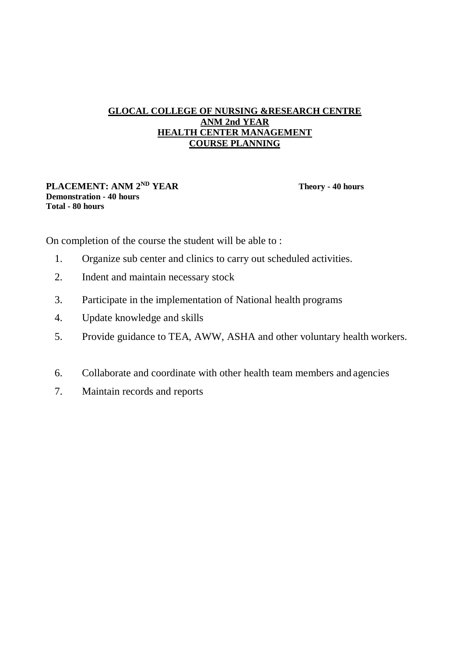# **GLOCAL COLLEGE OF NURSING &RESEARCH CENTRE ANM 2nd YEAR HEALTH CENTER MANAGEMENT COURSE PLANNING**

#### **PLACEMENT: ANM 2ND YEAR Theory - 40 hours Demonstration - 40 hours Total - 80 hours**

On completion of the course the student will be able to :

- 1. Organize sub center and clinics to carry out scheduled activities.
- 2. Indent and maintain necessary stock
- 3. Participate in the implementation of National health programs
- 4. Update knowledge and skills
- 5. Provide guidance to TEA, AWW, ASHA and other voluntary health workers.
- 6. Collaborate and coordinate with other health team members and agencies
- 7. Maintain records and reports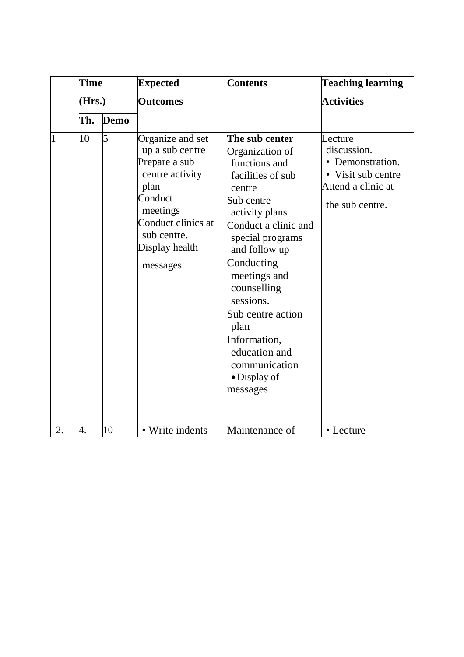|                | <b>Time</b> |             | <b>Expected</b>                                                                                                                                                            | <b>Contents</b>                                                                                                                                                                                                                                                                                                                                             | <b>Teaching learning</b>                                                                                  |
|----------------|-------------|-------------|----------------------------------------------------------------------------------------------------------------------------------------------------------------------------|-------------------------------------------------------------------------------------------------------------------------------------------------------------------------------------------------------------------------------------------------------------------------------------------------------------------------------------------------------------|-----------------------------------------------------------------------------------------------------------|
|                | (Hrs.)      |             | <b>Outcomes</b>                                                                                                                                                            |                                                                                                                                                                                                                                                                                                                                                             | <b>Activities</b>                                                                                         |
|                | Th.         | <b>Demo</b> |                                                                                                                                                                            |                                                                                                                                                                                                                                                                                                                                                             |                                                                                                           |
| $\overline{1}$ | 10          | 5           | Organize and set<br>up a sub centre<br>Prepare a sub<br>centre activity<br>plan<br>Conduct<br>meetings<br>Conduct clinics at<br>sub centre.<br>Display health<br>messages. | The sub center<br>Organization of<br>functions and<br>facilities of sub<br>centre<br>Sub centre<br>activity plans<br>Conduct a clinic and<br>special programs<br>and follow up<br>Conducting<br>meetings and<br>counselling<br>sessions.<br>Sub centre action<br>plan<br>Information,<br>education and<br>communication<br>$\bullet$ Display of<br>messages | Lecture<br>discussion.<br>• Demonstration.<br>• Visit sub centre<br>Attend a clinic at<br>the sub centre. |
| 2.             | 4.          | 10          | • Write indents                                                                                                                                                            | Maintenance of                                                                                                                                                                                                                                                                                                                                              | • Lecture                                                                                                 |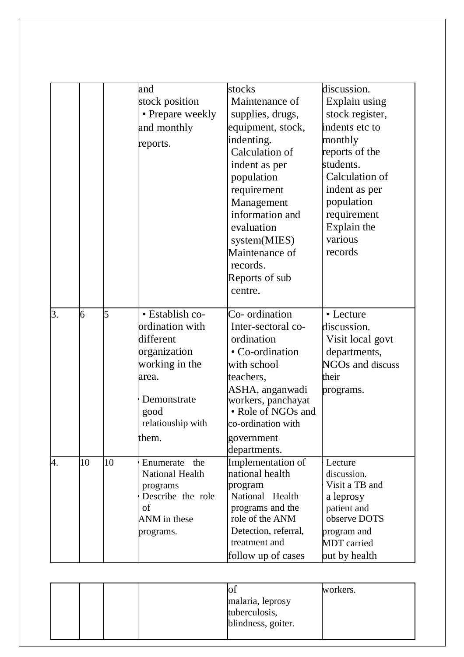|    |    |    | and                                                                                                                              | stocks                                                                                                                                                                                | discussion.                                                                                                    |
|----|----|----|----------------------------------------------------------------------------------------------------------------------------------|---------------------------------------------------------------------------------------------------------------------------------------------------------------------------------------|----------------------------------------------------------------------------------------------------------------|
|    |    |    | stock position                                                                                                                   | Maintenance of                                                                                                                                                                        | Explain using                                                                                                  |
|    |    |    | • Prepare weekly                                                                                                                 | supplies, drugs,                                                                                                                                                                      | stock register,                                                                                                |
|    |    |    | and monthly                                                                                                                      | equipment, stock,                                                                                                                                                                     | indents etc to                                                                                                 |
|    |    |    |                                                                                                                                  | indenting.                                                                                                                                                                            | monthly                                                                                                        |
|    |    |    | reports.                                                                                                                         | Calculation of                                                                                                                                                                        | reports of the                                                                                                 |
|    |    |    |                                                                                                                                  | indent as per                                                                                                                                                                         | students.                                                                                                      |
|    |    |    |                                                                                                                                  | population                                                                                                                                                                            | Calculation of                                                                                                 |
|    |    |    |                                                                                                                                  | requirement                                                                                                                                                                           | indent as per                                                                                                  |
|    |    |    |                                                                                                                                  | Management                                                                                                                                                                            | population                                                                                                     |
|    |    |    |                                                                                                                                  | information and                                                                                                                                                                       | requirement                                                                                                    |
|    |    |    |                                                                                                                                  | evaluation                                                                                                                                                                            | Explain the                                                                                                    |
|    |    |    |                                                                                                                                  | system(MIES)                                                                                                                                                                          | various                                                                                                        |
|    |    |    |                                                                                                                                  | Maintenance of                                                                                                                                                                        | records                                                                                                        |
|    |    |    |                                                                                                                                  | records.                                                                                                                                                                              |                                                                                                                |
|    |    |    |                                                                                                                                  |                                                                                                                                                                                       |                                                                                                                |
|    |    |    |                                                                                                                                  |                                                                                                                                                                                       |                                                                                                                |
|    |    |    |                                                                                                                                  |                                                                                                                                                                                       |                                                                                                                |
| 3. | 6  | 5  | · Establish co-                                                                                                                  | Co-ordination                                                                                                                                                                         | • Lecture                                                                                                      |
|    |    |    | ordination with                                                                                                                  | Inter-sectoral co-                                                                                                                                                                    | discussion.                                                                                                    |
|    |    |    | different                                                                                                                        | ordination                                                                                                                                                                            | Visit local govt                                                                                               |
|    |    |    | organization                                                                                                                     | • Co-ordination                                                                                                                                                                       | departments,                                                                                                   |
|    |    |    | working in the                                                                                                                   | with school                                                                                                                                                                           | NGOs and discuss                                                                                               |
|    |    |    | area.                                                                                                                            | teachers,                                                                                                                                                                             | their                                                                                                          |
|    |    |    |                                                                                                                                  | ASHA, anganwadi                                                                                                                                                                       | programs.                                                                                                      |
|    |    |    |                                                                                                                                  | workers, panchayat                                                                                                                                                                    |                                                                                                                |
|    |    |    | good                                                                                                                             |                                                                                                                                                                                       |                                                                                                                |
|    |    |    |                                                                                                                                  |                                                                                                                                                                                       |                                                                                                                |
|    |    |    |                                                                                                                                  | government                                                                                                                                                                            |                                                                                                                |
|    |    |    |                                                                                                                                  | departments.                                                                                                                                                                          |                                                                                                                |
|    | 10 |    | the<br>Enumerate                                                                                                                 | Implementation of                                                                                                                                                                     | Lecture                                                                                                        |
|    |    |    |                                                                                                                                  |                                                                                                                                                                                       |                                                                                                                |
|    |    |    |                                                                                                                                  |                                                                                                                                                                                       |                                                                                                                |
|    |    |    |                                                                                                                                  |                                                                                                                                                                                       |                                                                                                                |
|    |    |    |                                                                                                                                  |                                                                                                                                                                                       |                                                                                                                |
|    |    |    |                                                                                                                                  |                                                                                                                                                                                       |                                                                                                                |
|    |    |    |                                                                                                                                  | treatment and                                                                                                                                                                         |                                                                                                                |
|    |    |    |                                                                                                                                  | follow up of cases                                                                                                                                                                    | out by health                                                                                                  |
| 4. |    | 10 | Demonstrate<br>relationship with<br>them.<br>National Health<br>programs<br>Describe the role<br>of<br>ANM in these<br>programs. | Reports of sub<br>centre.<br>• Role of NGOs and<br>co-ordination with<br>national health<br>program<br>National Health<br>programs and the<br>role of the ANM<br>Detection, referral, | discussion.<br>Visit a TB and<br>a leprosy<br>patient and<br>observe DOTS<br>program and<br><b>MDT</b> carried |

|  |  |                    | workers. |
|--|--|--------------------|----------|
|  |  | malaria, leprosy   |          |
|  |  | tuberculosis,      |          |
|  |  | blindness, goiter. |          |
|  |  |                    |          |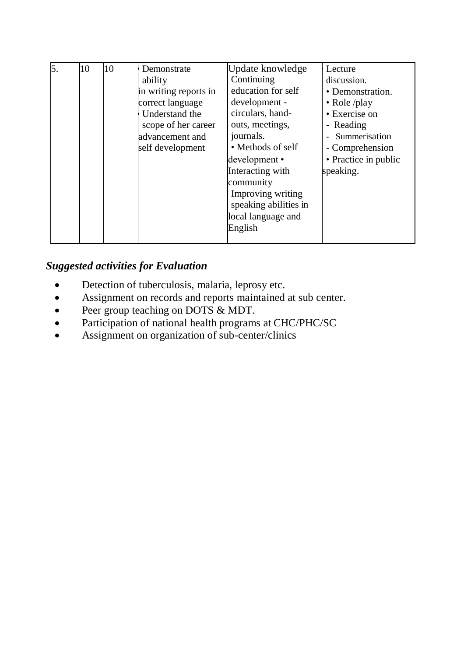| 5. | 10 | 10 | Demonstrate           | Update knowledge      | Lecture              |
|----|----|----|-----------------------|-----------------------|----------------------|
|    |    |    | ability               | Continuing            | discussion.          |
|    |    |    | in writing reports in | education for self    | • Demonstration.     |
|    |    |    | correct language      | development -         | • Role /play         |
|    |    |    | Understand the        | circulars, hand-      | • Exercise on        |
|    |    |    | scope of her career   | outs, meetings,       | - Reading            |
|    |    |    | advancement and       | journals.             | - Summerisation      |
|    |    |    | self development      | • Methods of self     | - Comprehension      |
|    |    |    |                       | development •         | • Practice in public |
|    |    |    |                       | Interacting with      | speaking.            |
|    |    |    |                       | community             |                      |
|    |    |    |                       | Improving writing     |                      |
|    |    |    |                       | speaking abilities in |                      |
|    |    |    |                       | local language and    |                      |
|    |    |    |                       | English               |                      |
|    |    |    |                       |                       |                      |

# *Suggested activities for Evaluation*

- Detection of tuberculosis, malaria, leprosy etc.
- Assignment on records and reports maintained at sub center.
- Peer group teaching on DOTS & MDT.
- Participation of national health programs at CHC/PHC/SC
- Assignment on organization of sub-center/clinics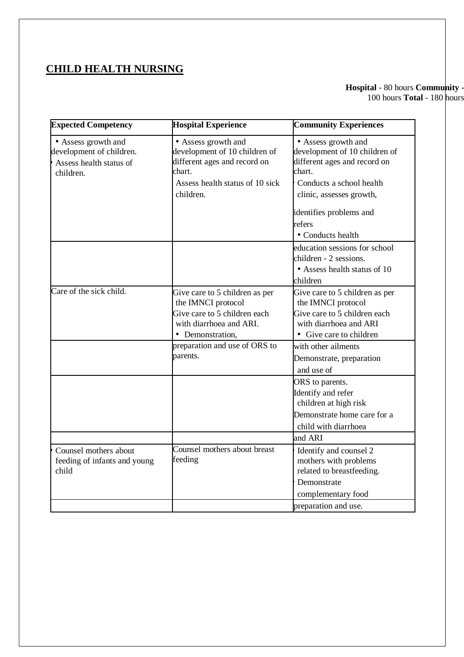# **CHILD HEALTH NURSING**

### **Hospital** - 80 hours **Community** - 100 hours **Total** - 180 hours

| <b>Expected Competency</b>                                                              | <b>Hospital Experience</b>                                                                                                                     | <b>Community Experiences</b>                                                                                                                           |
|-----------------------------------------------------------------------------------------|------------------------------------------------------------------------------------------------------------------------------------------------|--------------------------------------------------------------------------------------------------------------------------------------------------------|
| • Assess growth and<br>development of children.<br>Assess health status of<br>children. | • Assess growth and<br>development of 10 children of<br>different ages and record on<br>chart.<br>Assess health status of 10 sick<br>children. | • Assess growth and<br>development of 10 children of<br>different ages and record on<br>chart.<br>Conducts a school health<br>clinic, assesses growth, |
|                                                                                         |                                                                                                                                                | identifies problems and<br>refers<br>• Conducts health                                                                                                 |
|                                                                                         |                                                                                                                                                | education sessions for school<br>children - 2 sessions.<br>• Assess health status of 10<br>children                                                    |
| Care of the sick child.                                                                 | Give care to 5 children as per<br>the IMNCI protocol<br>Give care to 5 children each<br>with diarrhoea and ARI.<br>• Demonstration,            | Give care to 5 children as per<br>the IMNCI protocol<br>Give care to 5 children each<br>with diarrhoea and ARI<br>• Give care to children              |
|                                                                                         | preparation and use of ORS to<br>parents.                                                                                                      | with other ailments<br>Demonstrate, preparation<br>and use of                                                                                          |
|                                                                                         |                                                                                                                                                | ORS to parents.<br>Identify and refer<br>children at high risk<br>Demonstrate home care for a<br>child with diarrhoea                                  |
|                                                                                         |                                                                                                                                                | and ARI                                                                                                                                                |
| Counsel mothers about<br>feeding of infants and young<br>child                          | Counsel mothers about breast<br>feeding                                                                                                        | Identify and counsel 2<br>mothers with problems<br>related to breastfeeding.                                                                           |
|                                                                                         |                                                                                                                                                | Demonstrate<br>complementary food                                                                                                                      |
|                                                                                         |                                                                                                                                                | preparation and use.                                                                                                                                   |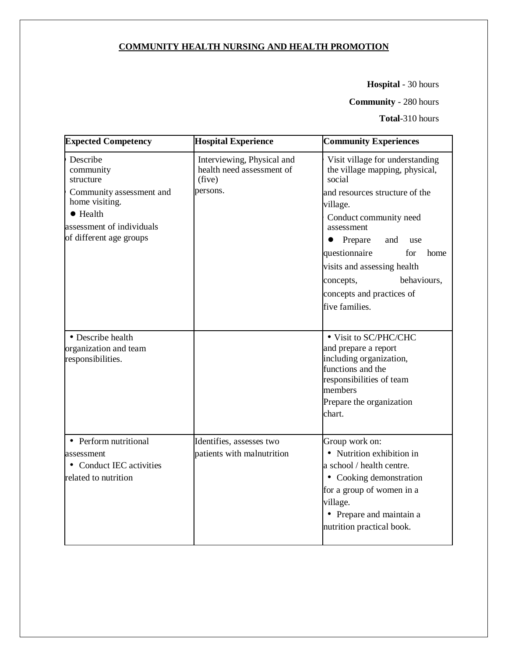# **COMMUNITY HEALTH NURSING AND HEALTH PROMOTION**

**Hospital** - 30 hours

**Community** - 280 hours

**Total**-310 hours

| <b>Expected Competency</b>                                                                                                                                   | <b>Hospital Experience</b>                                                    | <b>Community Experiences</b>                                                                                                                                                                                                                                                                                                                      |
|--------------------------------------------------------------------------------------------------------------------------------------------------------------|-------------------------------------------------------------------------------|---------------------------------------------------------------------------------------------------------------------------------------------------------------------------------------------------------------------------------------------------------------------------------------------------------------------------------------------------|
| Describe<br>community<br>structure<br>Community assessment and<br>home visiting.<br>$\bullet$ Health<br>assessment of individuals<br>of different age groups | Interviewing, Physical and<br>health need assessment of<br>(five)<br>persons. | Visit village for understanding<br>the village mapping, physical,<br>social<br>and resources structure of the<br>village.<br>Conduct community need<br>assessment<br>Prepare<br>$\bullet$<br>and<br>use<br>questionnaire<br>for<br>home<br>visits and assessing health<br>behaviours,<br>concepts,<br>concepts and practices of<br>five families. |
| • Describe health<br>organization and team<br>responsibilities.                                                                                              |                                                                               | • Visit to SC/PHC/CHC<br>and prepare a report<br>including organization,<br>functions and the<br>responsibilities of team<br>members<br>Prepare the organization<br>chart.                                                                                                                                                                        |
| • Perform nutritional<br>assessment<br>• Conduct IEC activities<br>related to nutrition                                                                      | Identifies, assesses two<br>patients with malnutrition                        | Group work on:<br>• Nutrition exhibition in<br>a school / health centre.<br>• Cooking demonstration<br>for a group of women in a<br>village.<br>• Prepare and maintain a<br>nutrition practical book.                                                                                                                                             |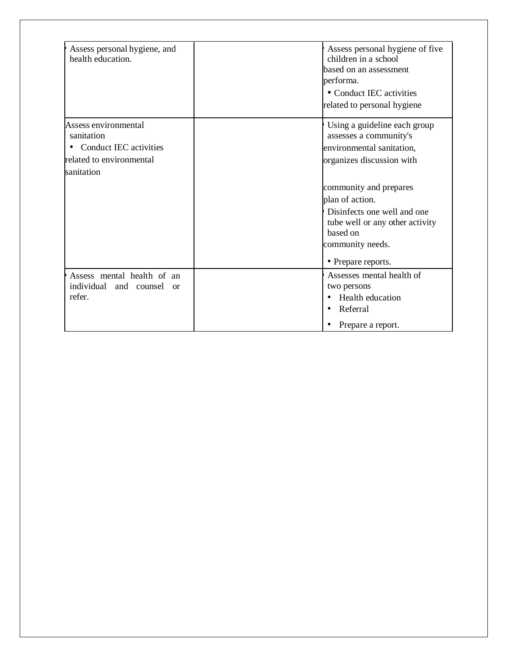| Assess personal hygiene, and<br>health education.                                                        | Assess personal hygiene of five<br>children in a school<br>based on an assessment<br>performa.<br>• Conduct IEC activities<br>related to personal hygiene         |
|----------------------------------------------------------------------------------------------------------|-------------------------------------------------------------------------------------------------------------------------------------------------------------------|
| Assess environmental<br>sanitation<br>• Conduct IEC activities<br>related to environmental<br>sanitation | Using a guideline each group<br>assesses a community's<br>environmental sanitation,<br>organizes discussion with                                                  |
|                                                                                                          | community and prepares<br>plan of action.<br>Disinfects one well and one<br>tube well or any other activity<br>based on<br>community needs.<br>• Prepare reports. |
| Assess mental health of an<br>individual<br>and counsel<br>$\alpha$<br>refer.                            | Assesses mental health of<br>two persons<br>Health education<br>$\bullet$<br>Referral<br>$\bullet$<br>Prepare a report.                                           |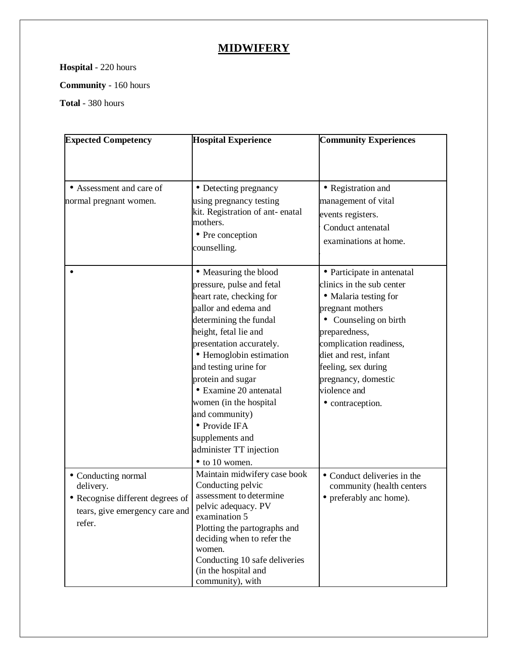# **MIDWIFERY**

**Hospital** - 220 hours

**Community** - 160 hours

**Total** - 380 hours

| <b>Expected Competency</b>       | <b>Hospital Experience</b>           | <b>Community Experiences</b> |
|----------------------------------|--------------------------------------|------------------------------|
|                                  |                                      |                              |
|                                  |                                      |                              |
| • Assessment and care of         | • Detecting pregnancy                | • Registration and           |
| normal pregnant women.           | using pregnancy testing              | management of vital          |
|                                  | kit. Registration of ant-enatal      | events registers.            |
|                                  | mothers.                             | Conduct antenatal            |
|                                  | • Pre conception                     | examinations at home.        |
|                                  | counselling.                         |                              |
|                                  | • Measuring the blood                | • Participate in antenatal   |
|                                  | pressure, pulse and fetal            | clinics in the sub center    |
|                                  | heart rate, checking for             | • Malaria testing for        |
|                                  | pallor and edema and                 | pregnant mothers             |
|                                  | determining the fundal               | • Counseling on birth        |
|                                  | height, fetal lie and                | preparedness,                |
|                                  | presentation accurately.             | complication readiness,      |
|                                  | • Hemoglobin estimation              | diet and rest, infant        |
|                                  | and testing urine for                | feeling, sex during          |
|                                  | protein and sugar                    | pregnancy, domestic          |
|                                  | • Examine 20 antenatal               | violence and                 |
|                                  | women (in the hospital               | • contraception.             |
|                                  | and community)                       |                              |
|                                  | • Provide IFA                        |                              |
|                                  | supplements and                      |                              |
|                                  | administer TT injection              |                              |
|                                  | $\bullet$ to 10 women.               |                              |
| • Conducting normal              | Maintain midwifery case book         | • Conduct deliveries in the  |
| delivery.                        | Conducting pelvic                    | community (health centers    |
| • Recognise different degrees of | assessment to determine              | • preferably anc home).      |
| tears, give emergency care and   | pelvic adequacy. PV<br>examination 5 |                              |
| refer.                           | Plotting the partographs and         |                              |
|                                  | deciding when to refer the           |                              |
|                                  | women.                               |                              |
|                                  | Conducting 10 safe deliveries        |                              |
|                                  | (in the hospital and                 |                              |
|                                  | community), with                     |                              |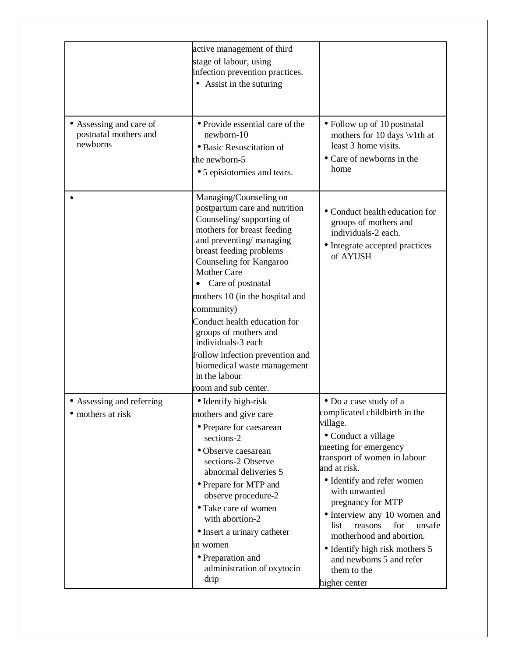|                                                              | active management of third<br>stage of labour, using<br>infection prevention practices.<br>• Assist in the suturing                                                                                                                                                                                                                                                                                                                                                                      |                                                                                                                                                                                                                                                                                                                                                                                                                                      |
|--------------------------------------------------------------|------------------------------------------------------------------------------------------------------------------------------------------------------------------------------------------------------------------------------------------------------------------------------------------------------------------------------------------------------------------------------------------------------------------------------------------------------------------------------------------|--------------------------------------------------------------------------------------------------------------------------------------------------------------------------------------------------------------------------------------------------------------------------------------------------------------------------------------------------------------------------------------------------------------------------------------|
| • Assessing and care of<br>postnatal mothers and<br>newborns | • Provide essential care of the<br>newborn-10<br>· Basic Resuscitation of<br>the newborn-5<br>• 5 episiotomies and tears.                                                                                                                                                                                                                                                                                                                                                                | • Follow up of 10 postnatal<br>mothers for 10 days \v1th at<br>least 3 home visits.<br>• Care of newborns in the<br>home                                                                                                                                                                                                                                                                                                             |
|                                                              | Managing/Counseling on<br>postpartum care and nutrition<br>Counseling/supporting of<br>mothers for breast feeding<br>and preventing/managing<br>breast feeding problems<br>Counseling for Kangaroo<br><b>Mother Care</b><br>Care of postnatal<br>mothers 10 (in the hospital and<br>community)<br>Conduct health education for<br>groups of mothers and<br>individuals-3 each<br>Follow infection prevention and<br>biomedical waste management<br>in the labour<br>room and sub center. | • Conduct health education for<br>groups of mothers and<br>individuals-2 each.<br>• Integrate accepted practices<br>of AYUSH                                                                                                                                                                                                                                                                                                         |
| • Assessing and referring<br>• mothers at risk               | • Identify high-risk<br>mothers and give care<br>· Prepare for caesarean<br>sections-2<br>• Observe caesarean<br>sections-2 Observe<br>abnormal deliveries 5<br>• Prepare for MTP and<br>observe procedure-2<br>• Take care of women<br>with abortion-2<br>• Insert a urinary catheter<br>in women<br>• Preparation and<br>administration of oxytocin<br>drip                                                                                                                            | • Do a case study of a<br>complicated childbirth in the<br>village.<br>· Conduct a village<br>meeting for emergency<br>transport of women in labour<br>and at risk.<br>• Identify and refer women<br>with unwanted<br>pregnancy for MTP<br>• Interview any 10 women and<br>for<br>unsafe<br>reasons<br>list<br>motherhood and abortion.<br>• Identify high risk mothers 5<br>and newboms 5 and refer<br>them to the<br>higher center |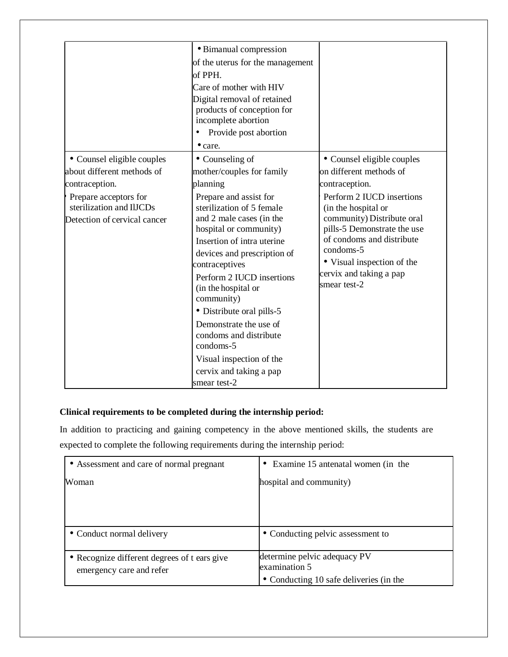|                                                                                   | • Bimanual compression                                                                                                                                                                                                                                                                                            |                                                                                                                                                                                                                                  |
|-----------------------------------------------------------------------------------|-------------------------------------------------------------------------------------------------------------------------------------------------------------------------------------------------------------------------------------------------------------------------------------------------------------------|----------------------------------------------------------------------------------------------------------------------------------------------------------------------------------------------------------------------------------|
|                                                                                   | of the uterus for the management                                                                                                                                                                                                                                                                                  |                                                                                                                                                                                                                                  |
|                                                                                   | of PPH.                                                                                                                                                                                                                                                                                                           |                                                                                                                                                                                                                                  |
|                                                                                   | Care of mother with HIV                                                                                                                                                                                                                                                                                           |                                                                                                                                                                                                                                  |
|                                                                                   | Digital removal of retained                                                                                                                                                                                                                                                                                       |                                                                                                                                                                                                                                  |
|                                                                                   | products of conception for                                                                                                                                                                                                                                                                                        |                                                                                                                                                                                                                                  |
|                                                                                   | incomplete abortion                                                                                                                                                                                                                                                                                               |                                                                                                                                                                                                                                  |
|                                                                                   | Provide post abortion<br>٠                                                                                                                                                                                                                                                                                        |                                                                                                                                                                                                                                  |
|                                                                                   | • care.                                                                                                                                                                                                                                                                                                           |                                                                                                                                                                                                                                  |
| • Counsel eligible couples                                                        | • Counseling of                                                                                                                                                                                                                                                                                                   | • Counsel eligible couples                                                                                                                                                                                                       |
| about different methods of                                                        | mother/couples for family                                                                                                                                                                                                                                                                                         | on different methods of                                                                                                                                                                                                          |
| contraception.                                                                    | planning                                                                                                                                                                                                                                                                                                          | contraception.                                                                                                                                                                                                                   |
| Prepare acceptors for<br>sterilization and IlJCDs<br>Detection of cervical cancer | Prepare and assist for<br>sterilization of 5 female<br>and 2 male cases (in the<br>hospital or community)<br>Insertion of intra uterine<br>devices and prescription of<br>contraceptives<br>Perform 2 IUCD insertions<br>(in the hospital or<br>community)<br>• Distribute oral pills-5<br>Demonstrate the use of | Perform 2 IUCD insertions<br>(in the hospital or<br>community) Distribute oral<br>pills-5 Demonstrate the use<br>of condoms and distribute<br>condoms-5<br>• Visual inspection of the<br>cervix and taking a pap<br>smear test-2 |
|                                                                                   | condoms and distribute<br>condoms-5                                                                                                                                                                                                                                                                               |                                                                                                                                                                                                                                  |
|                                                                                   | Visual inspection of the                                                                                                                                                                                                                                                                                          |                                                                                                                                                                                                                                  |
|                                                                                   | cervix and taking a pap                                                                                                                                                                                                                                                                                           |                                                                                                                                                                                                                                  |
|                                                                                   | smear test-2                                                                                                                                                                                                                                                                                                      |                                                                                                                                                                                                                                  |

# **Clinical requirements to be completed during the internship period:**

In addition to practicing and gaining competency in the above mentioned skills, the students are expected to complete the following requirements during the internship period:

| • Assessment and care of normal pregnant     | Examine 15 antenatal women (in the      |  |
|----------------------------------------------|-----------------------------------------|--|
| Woman                                        | hospital and community)                 |  |
|                                              |                                         |  |
|                                              |                                         |  |
|                                              |                                         |  |
| • Conduct normal delivery                    | • Conducting pelvic assessment to       |  |
| • Recognize different degrees of t ears give | determine pelvic adequacy PV            |  |
| emergency care and refer                     | examination 5                           |  |
|                                              | • Conducting 10 safe deliveries (in the |  |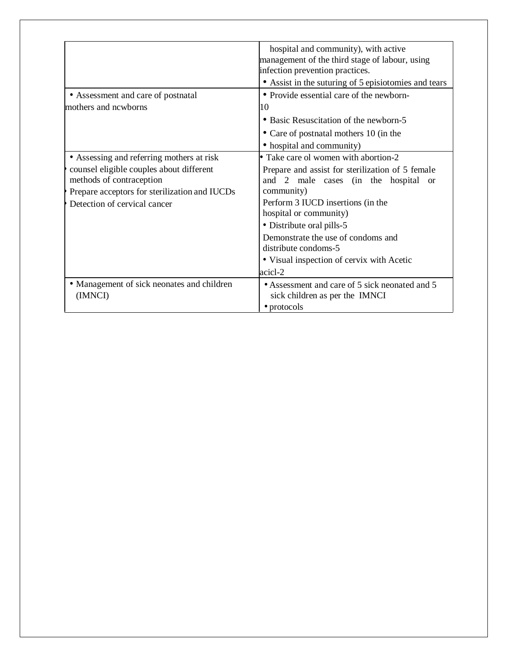|                                                                                                                       | hospital and community), with active<br>management of the third stage of labour, using<br>infection prevention practices.<br>• Assist in the suturing of 5 episiotomies and tears |  |  |
|-----------------------------------------------------------------------------------------------------------------------|-----------------------------------------------------------------------------------------------------------------------------------------------------------------------------------|--|--|
| • Assessment and care of postnatal                                                                                    | • Provide essential care of the newborn-                                                                                                                                          |  |  |
| mothers and newborns                                                                                                  | 10                                                                                                                                                                                |  |  |
|                                                                                                                       | • Basic Resuscitation of the newborn-5                                                                                                                                            |  |  |
|                                                                                                                       | • Care of postnatal mothers 10 (in the                                                                                                                                            |  |  |
|                                                                                                                       | • hospital and community)                                                                                                                                                         |  |  |
| • Assessing and referring mothers at risk                                                                             | • Take care ol women with abortion-2                                                                                                                                              |  |  |
| counsel eligible couples about different<br>methods of contraception<br>Prepare acceptors for sterilization and IUCDs | Prepare and assist for sterilization of 5 female<br>and 2 male cases (in the hospital<br>$\alpha$<br>community)                                                                   |  |  |
| Detection of cervical cancer                                                                                          | Perform 3 IUCD insertions (in the<br>hospital or community)                                                                                                                       |  |  |
|                                                                                                                       | • Distribute oral pills-5                                                                                                                                                         |  |  |
|                                                                                                                       | Demonstrate the use of condoms and<br>distribute condoms-5                                                                                                                        |  |  |
|                                                                                                                       | • Visual inspection of cervix with Acetic                                                                                                                                         |  |  |
|                                                                                                                       | acicl-2                                                                                                                                                                           |  |  |
| • Management of sick neonates and children<br>(IMNCI)                                                                 | • Assessment and care of 5 sick neonated and 5<br>sick children as per the IMNCI<br>• protocols                                                                                   |  |  |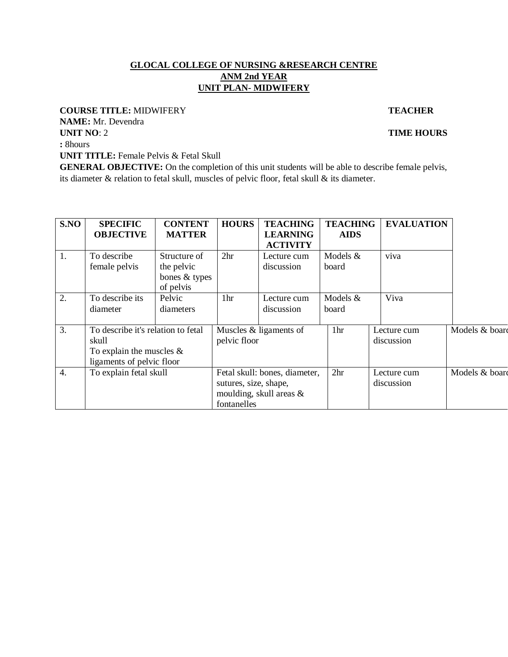#### **GLOCAL COLLEGE OF NURSING &RESEARCH CENTRE ANM 2nd YEAR UNIT PLAN- MIDWIFERY**

#### **COURSE TITLE:** MIDWIFERY **TEACHER**

**NAME:** Mr. Devendra **UNIT NO**: 2 **TIME HOURS** 

**:** 8hours

**UNIT TITLE:** Female Pelvis & Fetal Skull

**GENERAL OBJECTIVE:** On the completion of this unit students will be able to describe female pelvis, its diameter & relation to fetal skull, muscles of pelvic floor, fetal skull & its diameter.

| S.NO             | <b>SPECIFIC</b><br><b>OBJECTIVE</b>                                                                                     | <b>CONTENT</b><br><b>MATTER</b>                          | <b>HOURS</b>                         | <b>TEACHING</b><br><b>LEARNING</b>                          | <b>TEACHING</b><br><b>AIDS</b> | <b>EVALUATION</b>         |                |
|------------------|-------------------------------------------------------------------------------------------------------------------------|----------------------------------------------------------|--------------------------------------|-------------------------------------------------------------|--------------------------------|---------------------------|----------------|
| 1.               | To describe<br>female pelvis                                                                                            | Structure of<br>the pelvic<br>bones & types<br>of pelvis | 2 <sup>hr</sup>                      | <b>ACTIVITY</b><br>Lecture cum<br>discussion                | Models &<br>board              | viva                      |                |
| 2.               | To describe its<br>diameter                                                                                             | Pelvic<br>diameters                                      | 1hr                                  | Lecture cum<br>discussion                                   | Models &<br>board              | Viva                      |                |
| 3.               | To describe it's relation to fetal<br>pelvic floor<br>skull<br>To explain the muscles $\&$<br>ligaments of pelvic floor |                                                          | Muscles & ligaments of               | 1hr                                                         | Lecture cum<br>discussion      | Models & board            |                |
| $\overline{4}$ . | To explain fetal skull                                                                                                  |                                                          | sutures, size, shape,<br>fontanelles | Fetal skull: bones, diameter,<br>moulding, skull areas $\&$ | 2 <sup>hr</sup>                | Lecture cum<br>discussion | Models & board |